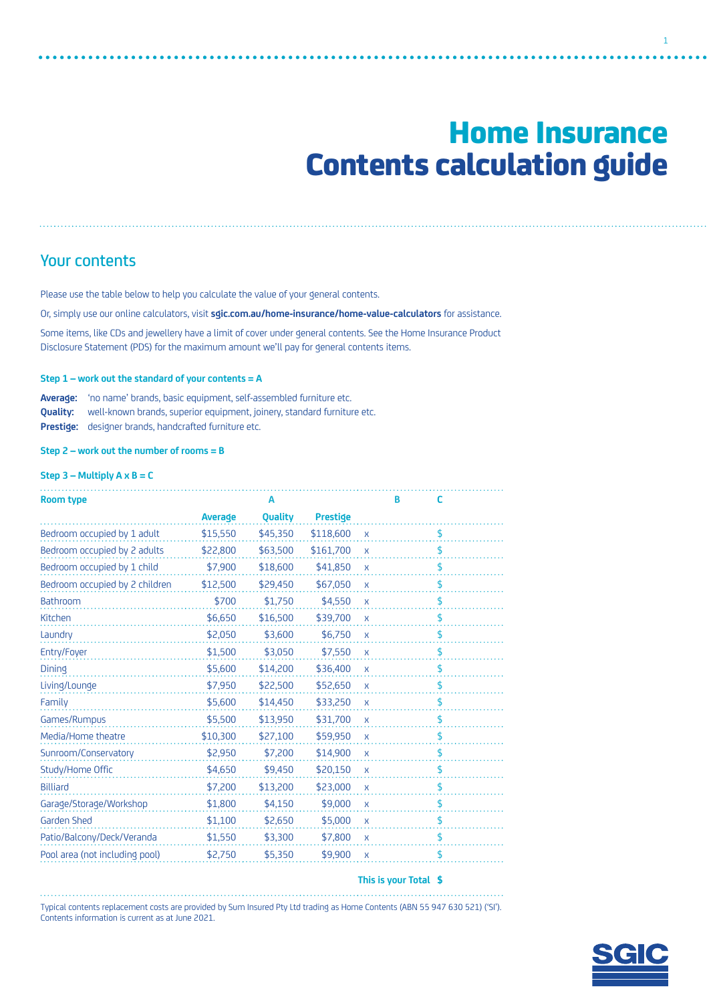# Home Insurance Contents calculation guide

1

## Your contents

Please use the table below to help you calculate the value of your general contents.

Or, simply use our online calculators, visit **[sgic.com.au/home-insurance/home-value-calculators](http://sgic.com.au/home-insurance/home-value-calculators)** for assistance.

Some items, like CDs and jewellery have a limit of cover under general contents. See the Home Insurance Product Disclosure Statement (PDS) for the maximum amount we'll pay for general contents items.

#### **Step 1 – work out the standard of your contents = A**

**Average:** 'no name' brands, basic equipment, self-assembled furniture etc. **Quality:** well-known brands, superior equipment, joinery, standard furniture etc. **Prestige:** designer brands, handcrafted furniture etc.

**Step 2 – work out the number of rooms = B**

### **Step 3 – Multiply A x B = C**

|          | A        |                 |              | В | c  |  |
|----------|----------|-----------------|--------------|---|----|--|
| Average  | Quality  | <b>Prestige</b> |              |   |    |  |
| \$15,550 | \$45,350 | \$118,600       | $\mathsf{X}$ |   | \$ |  |
| \$22,800 | \$63,500 | \$161,700       | $\mathsf{X}$ |   | \$ |  |
| \$7,900  | \$18,600 | \$41,850        | $\mathsf{X}$ |   | \$ |  |
| \$12,500 | \$29,450 | \$67,050        | $\mathsf{X}$ |   | \$ |  |
| \$700    | \$1,750  | \$4,550         | $\mathsf{x}$ |   | \$ |  |
| \$6,650  | \$16,500 | \$39,700        | $\mathsf{x}$ |   | \$ |  |
| \$2,050  | \$3,600  | \$6,750         | $\mathsf{X}$ |   | \$ |  |
| \$1,500  | \$3,050  | \$7,550         | $\mathsf{X}$ |   | \$ |  |
| \$5,600  | \$14,200 | \$36,400        | $\mathsf{x}$ |   | \$ |  |
| \$7,950  | \$22,500 | \$52,650        | $\mathsf{X}$ |   | \$ |  |
| \$5,600  | \$14,450 | \$33,250        | $\mathsf{X}$ |   | \$ |  |
| \$5,500  | \$13,950 | \$31,700        | $\mathsf{X}$ |   | \$ |  |
| \$10,300 | \$27,100 | \$59,950        | $\mathsf{X}$ |   | \$ |  |
| \$2,950  | \$7,200  | \$14,900        | $\mathsf{X}$ |   | \$ |  |
| \$4,650  | \$9,450  | \$20,150        | $\mathsf{X}$ |   | \$ |  |
| \$7,200  | \$13,200 | \$23,000        | $\mathsf{X}$ |   | \$ |  |
| \$1,800  | \$4,150  | \$9,000         | $\mathsf{X}$ |   | \$ |  |
| \$1,100  | \$2,650  | \$5,000         | $\mathsf{x}$ |   | \$ |  |
| \$1,550  | \$3,300  | \$7,800         | $\mathsf{X}$ |   | \$ |  |
| \$2,750  | \$5,350  | \$9,900         | $\mathsf{X}$ |   | \$ |  |
|          |          |                 |              |   |    |  |

#### **This is your Total \$**

Typical contents replacement costs are provided by Sum Insured Pty Ltd trading as Home Contents (ABN 55 947 630 521) ('SI'). Contents information is current as at June 2021.